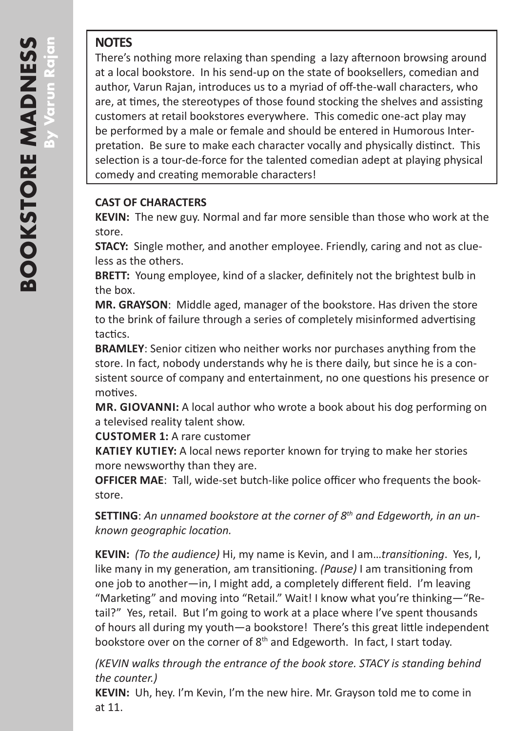## **NOTES**

There's nothing more relaxing than spending a lazy afternoon browsing around at a local bookstore. In his send-up on the state of booksellers, comedian and author, Varun Rajan, introduces us to a myriad of off-the-wall characters, who are, at times, the stereotypes of those found stocking the shelves and assisting customers at retail bookstores everywhere. This comedic one-act play may be performed by a male or female and should be entered in Humorous Inter pretation. Be sure to make each character vocally and physically distinct. This selection is a tour-de-force for the talented comedian adept at playing physical comedy and creating memorable characters!

## **CAST OF CHARACTERS**

**KEVIN:** The new guy. Normal and far more sensible than those who work at the store.

**STACY:** Single mother, and another employee. Friendly, caring and not as clue less as the others.

**BRETT:** Young employee, kind of a slacker, definitely not the brightest bulb in the box.

MR. GRAYSON: Middle aged, manager of the bookstore. Has driven the store to the brink of failure through a series of completely misinformed advertising tactics.

**BRAMLEY**: Senior citizen who neither works nor purchases anything from the store. In fact, nobody understands why he is there daily, but since he is a con sistent source of company and entertainment, no one questions his presence or motives.

**MR. GIOVANNI:** A local author who wrote a book about his dog performing on a televised reality talent show.

**CUSTOMER 1:** A rare customer

**KATIEY KUTIEY:** A local news reporter known for trying to make her stories more newsworthy than they are.

**OFFICER MAE**: Tall, wide-set butch-like police officer who frequents the book store.

**SETTING**: *An unnamed bookstore at the corner of 8th and Edgeworth, in an un known geographic location.*

**KEVIN:** *(To the audience)* Hi, my name is Kevin, and I am…*transitioning*. Yes, I, like many in my generation, am transitioning. *(Pause)* I am transitioning from one job to another—in, I might add, a completely different field. I'm leaving "Marketing" and moving into "Retail." Wait! I know what you're thinking-"Retail?" Yes, retail. But I'm going to work at a place where I've spent thousands of hours all during my youth—a bookstore! There's this great little independent bookstore over on the corner of  $8<sup>th</sup>$  and Edgeworth. In fact, I start today.

*(KEVIN walks through the entrance of the book store. STACY is standing behind the counter.)*

**KEVIN:** Uh, hey. I'm Kevin, I'm the new hire. Mr. Grayson told me to come in at 11.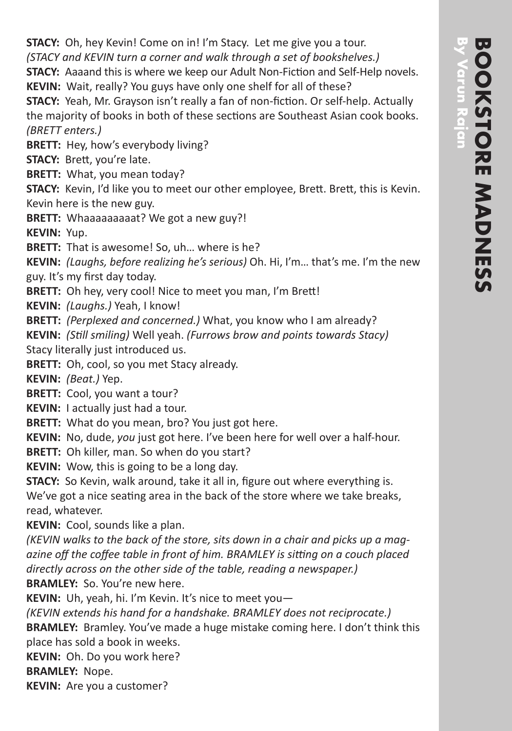**STACY:** Oh, hey Kevin! Come on in! I'm Stacy. Let me give you a tour. *(STACY and KEVIN turn a corner and walk through a set of bookshelves.)*

**STACY:** Aaaand this is where we keep our Adult Non-Fiction and Self-Help novels. **KEVIN:** Wait, really? You guys have only one shelf for all of these?

**STACY:** Yeah, Mr. Grayson isn't really a fan of non-fiction. Or self-help. Actually the majority of books in both of these sections are Southeast Asian cook books. *(BRETT enters.)*

**BRETT:** Hey, how's everybody living?

**STACY:** Brett, you're late.

**BRETT:** What, you mean today?

**STACY:** Kevin, I'd like you to meet our other employee, Brett. Brett, this is Kevin. Kevin here is the new guy.

**BRETT:** Whaaaaaaaaat? We got a new guy?!

**KEVIN:** Yup.

**BRETT:** That is awesome! So, uh... where is he?

**KEVIN:** *(Laughs, before realizing he's serious)* Oh. Hi, I'm… that's me. I'm the new guy. It's my first day today.

**BRETT:** Oh hey, very cool! Nice to meet you man, I'm Brett!

**KEVIN:** *(Laughs.)* Yeah, I know!

**BRETT:** *(Perplexed and concerned.)* What, you know who I am already?

**KEVIN:** *(Still smiling)* Well yeah. *(Furrows brow and points towards Stacy)* Stacy literally just introduced us.

**BRETT:** Oh, cool, so you met Stacy already.

**KEVIN:** *(Beat.)* Yep.

**BRETT:** Cool, you want a tour?

**KEVIN:** I actually just had a tour.

**BRETT:** What do you mean, bro? You just got here.

**KEVIN:** No, dude, *you* just got here. I've been here for well over a half-hour.

**BRETT:** Oh killer, man. So when do you start?

**KEVIN:** Wow, this is going to be a long day.

**STACY:** So Kevin, walk around, take it all in, figure out where everything is.

We've got a nice seating area in the back of the store where we take breaks, read, whatever.

**KEVIN:** Cool, sounds like a plan.

*(KEVIN walks to the back of the store, sits down in a chair and picks up a mag azine off the coffee table in front of him. BRAMLEY is sitting on a couch placed directly across on the other side of the table, reading a newspaper.)* **BRAMLEY:** So. You're new here.

**KEVIN:** Uh, yeah, hi. I'm Kevin. It's nice to meet you—

*(KEVIN extends his hand for a handshake. BRAMLEY does not reciprocate.)*

**BRAMLEY:** Bramley. You've made a huge mistake coming here. I don't think this place has sold a book in weeks.

**KEVIN:** Oh. Do you work here?

**BRAMLEY:** Nope.

**KEVIN:** Are you a customer?